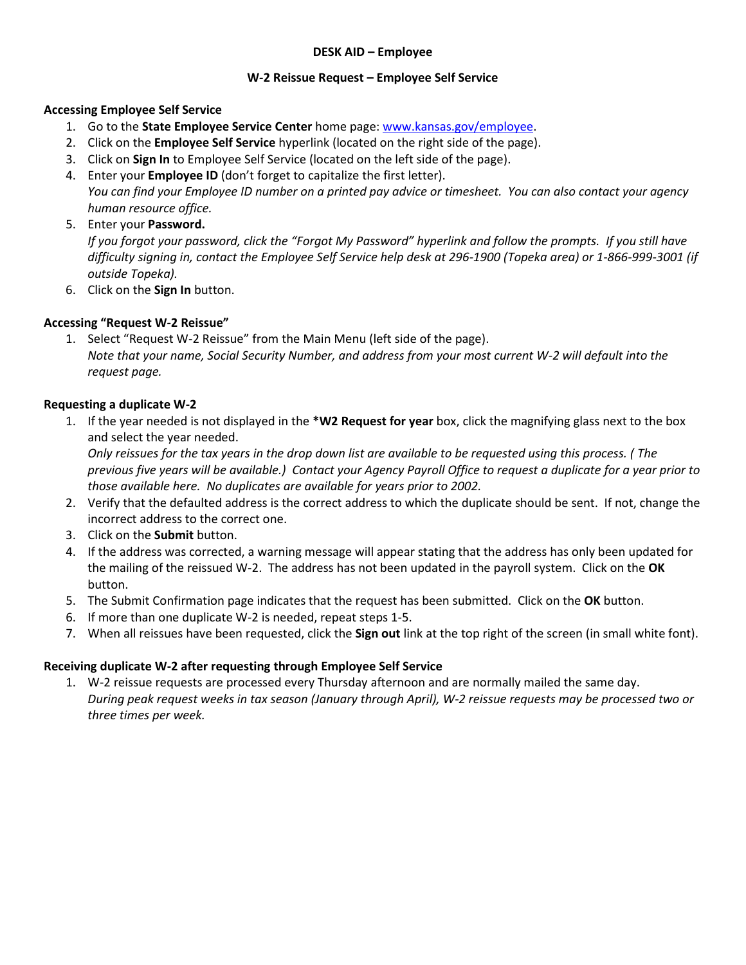### **DESK AID – Employee**

#### **W-2 Reissue Request – Employee Self Service**

#### **Accessing Employee Self Service**

- 1. Go to the **State Employee Service Center** home page: [www.kansas.gov/employee.](http://www.kansas.gov/employee)
- 2. Click on the **Employee Self Service** hyperlink (located on the right side of the page).
- 3. Click on **Sign In** to Employee Self Service (located on the left side of the page).
- 4. Enter your **Employee ID** (don't forget to capitalize the first letter). *You can find your Employee ID number on a printed pay advice or timesheet. You can also contact your agency human resource office.*
- 5. Enter your **Password.**

*If you forgot your password, click the "Forgot My Password" hyperlink and follow the prompts. If you still have difficulty signing in, contact the Employee Self Service help desk at 296-1900 (Topeka area) or 1-866-999-3001 (if outside Topeka).*

6. Click on the **Sign In** button.

# **Accessing "Request W-2 Reissue"**

1. Select "Request W-2 Reissue" from the Main Menu (left side of the page). *Note that your name, Social Security Number, and address from your most current W-2 will default into the request page.*

# **Requesting a duplicate W-2**

1. If the year needed is not displayed in the **\*W2 Request for year** box, click the magnifying glass next to the box and select the year needed.

*Only reissues for the tax years in the drop down list are available to be requested using this process. ( The previous five years will be available.) Contact your Agency Payroll Office to request a duplicate for a year prior to those available here. No duplicates are available for years prior to 2002.*

- 2. Verify that the defaulted address is the correct address to which the duplicate should be sent. If not, change the incorrect address to the correct one.
- 3. Click on the **Submit** button.
- 4. If the address was corrected, a warning message will appear stating that the address has only been updated for the mailing of the reissued W-2. The address has not been updated in the payroll system. Click on the **OK** button.
- 5. The Submit Confirmation page indicates that the request has been submitted. Click on the **OK** button.
- 6. If more than one duplicate W-2 is needed, repeat steps 1-5.
- 7. When all reissues have been requested, click the **Sign out** link at the top right of the screen (in small white font).

### **Receiving duplicate W-2 after requesting through Employee Self Service**

1. W-2 reissue requests are processed every Thursday afternoon and are normally mailed the same day. *During peak request weeks in tax season (January through April), W-2 reissue requests may be processed two or three times per week.*